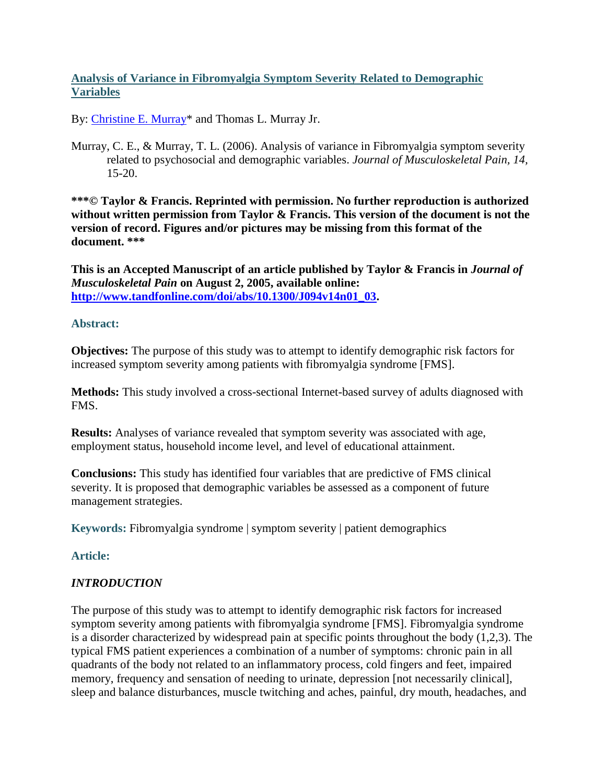## **Analysis of Variance in Fibromyalgia Symptom Severity Related to Demographic Variables**

By: [Christine E. Murray\\*](https://libres.uncg.edu/ir/uncg/clist.aspx?id=894) and Thomas L. Murray Jr.

Murray, C. E., & Murray, T. L. (2006). Analysis of variance in Fibromyalgia symptom severity related to psychosocial and demographic variables. *Journal of Musculoskeletal Pain, 14,*  15-20.

**\*\*\*© Taylor & Francis. Reprinted with permission. No further reproduction is authorized without written permission from Taylor & Francis. This version of the document is not the version of record. Figures and/or pictures may be missing from this format of the document. \*\*\***

**This is an Accepted Manuscript of an article published by Taylor & Francis in** *Journal of Musculoskeletal Pain* **on August 2, 2005, available online: [http://www.tandfonline.com/doi/abs/10.1300/J094v14n01\\_03.](http://www.tandfonline.com/doi/abs/10.1300/J094v14n01_03)**

#### **Abstract:**

**Objectives:** The purpose of this study was to attempt to identify demographic risk factors for increased symptom severity among patients with fibromyalgia syndrome [FMS].

**Methods:** This study involved a cross-sectional Internet-based survey of adults diagnosed with FMS.

**Results:** Analyses of variance revealed that symptom severity was associated with age, employment status, household income level, and level of educational attainment.

**Conclusions:** This study has identified four variables that are predictive of FMS clinical severity. It is proposed that demographic variables be assessed as a component of future management strategies.

**Keywords:** Fibromyalgia syndrome | symptom severity | patient demographics

## **Article:**

## *INTRODUCTION*

The purpose of this study was to attempt to identify demographic risk factors for increased symptom severity among patients with fibromyalgia syndrome [FMS]. Fibromyalgia syndrome is a disorder characterized by widespread pain at specific points throughout the body (1,2,3). The typical FMS patient experiences a combination of a number of symptoms: chronic pain in all quadrants of the body not related to an inflammatory process, cold fingers and feet, impaired memory, frequency and sensation of needing to urinate, depression [not necessarily clinical], sleep and balance disturbances, muscle twitching and aches, painful, dry mouth, headaches, and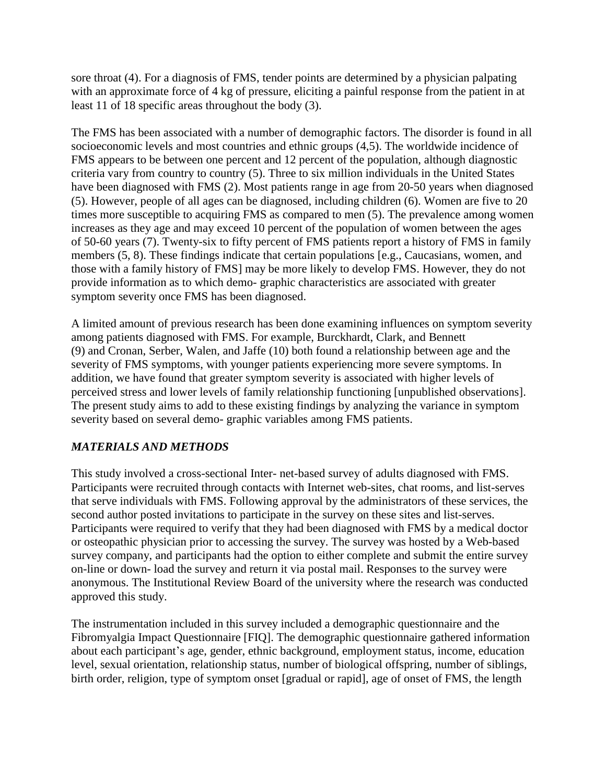sore throat (4). For a diagnosis of FMS, tender points are determined by a physician palpating with an approximate force of 4 kg of pressure, eliciting a painful response from the patient in at least 11 of 18 specific areas throughout the body (3).

The FMS has been associated with a number of demographic factors. The disorder is found in all socioeconomic levels and most countries and ethnic groups (4,5). The worldwide incidence of FMS appears to be between one percent and 12 percent of the population, although diagnostic criteria vary from country to country (5). Three to six million individuals in the United States have been diagnosed with FMS (2). Most patients range in age from 20-50 years when diagnosed (5). However, people of all ages can be diagnosed, including children (6). Women are five to 20 times more susceptible to acquiring FMS as compared to men (5). The prevalence among women increases as they age and may exceed 10 percent of the population of women between the ages of 50-60 years (7). Twenty-six to fifty percent of FMS patients report a history of FMS in family members (5, 8). These findings indicate that certain populations [e.g., Caucasians, women, and those with a family history of FMS] may be more likely to develop FMS. However, they do not provide information as to which demo- graphic characteristics are associated with greater symptom severity once FMS has been diagnosed.

A limited amount of previous research has been done examining influences on symptom severity among patients diagnosed with FMS. For example, Burckhardt, Clark, and Bennett (9) and Cronan, Serber, Walen, and Jaffe (10) both found a relationship between age and the severity of FMS symptoms, with younger patients experiencing more severe symptoms. In addition, we have found that greater symptom severity is associated with higher levels of perceived stress and lower levels of family relationship functioning [unpublished observations]. The present study aims to add to these existing findings by analyzing the variance in symptom severity based on several demo- graphic variables among FMS patients.

## *MATERIALS AND METHODS*

This study involved a cross-sectional Inter- net-based survey of adults diagnosed with FMS. Participants were recruited through contacts with Internet web-sites, chat rooms, and list-serves that serve individuals with FMS. Following approval by the administrators of these services, the second author posted invitations to participate in the survey on these sites and list-serves. Participants were required to verify that they had been diagnosed with FMS by a medical doctor or osteopathic physician prior to accessing the survey. The survey was hosted by a Web-based survey company, and participants had the option to either complete and submit the entire survey on-line or down- load the survey and return it via postal mail. Responses to the survey were anonymous. The Institutional Review Board of the university where the research was conducted approved this study.

The instrumentation included in this survey included a demographic questionnaire and the Fibromyalgia Impact Questionnaire [FIQ]. The demographic questionnaire gathered information about each participant's age, gender, ethnic background, employment status, income, education level, sexual orientation, relationship status, number of biological offspring, number of siblings, birth order, religion, type of symptom onset [gradual or rapid], age of onset of FMS, the length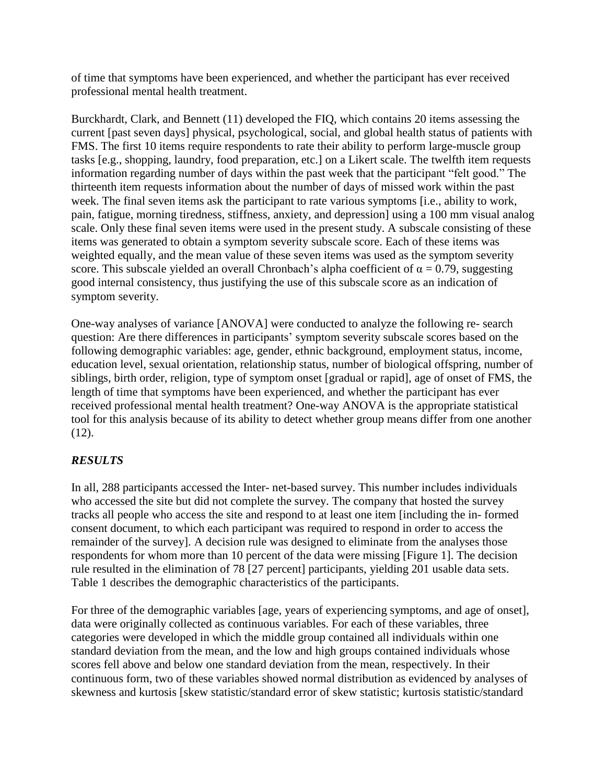of time that symptoms have been experienced, and whether the participant has ever received professional mental health treatment.

Burckhardt, Clark, and Bennett (11) developed the FIQ, which contains 20 items assessing the current [past seven days] physical, psychological, social, and global health status of patients with FMS. The first 10 items require respondents to rate their ability to perform large-muscle group tasks [e.g., shopping, laundry, food preparation, etc.] on a Likert scale. The twelfth item requests information regarding number of days within the past week that the participant "felt good." The thirteenth item requests information about the number of days of missed work within the past week. The final seven items ask the participant to rate various symptoms [i.e., ability to work, pain, fatigue, morning tiredness, stiffness, anxiety, and depression] using a 100 mm visual analog scale. Only these final seven items were used in the present study. A subscale consisting of these items was generated to obtain a symptom severity subscale score. Each of these items was weighted equally, and the mean value of these seven items was used as the symptom severity score. This subscale yielded an overall Chronbach's alpha coefficient of  $\alpha = 0.79$ , suggesting good internal consistency, thus justifying the use of this subscale score as an indication of symptom severity.

One-way analyses of variance [ANOVA] were conducted to analyze the following re- search question: Are there differences in participants' symptom severity subscale scores based on the following demographic variables: age, gender, ethnic background, employment status, income, education level, sexual orientation, relationship status, number of biological offspring, number of siblings, birth order, religion, type of symptom onset [gradual or rapid], age of onset of FMS, the length of time that symptoms have been experienced, and whether the participant has ever received professional mental health treatment? One-way ANOVA is the appropriate statistical tool for this analysis because of its ability to detect whether group means differ from one another (12).

## *RESULTS*

In all, 288 participants accessed the Inter- net-based survey. This number includes individuals who accessed the site but did not complete the survey. The company that hosted the survey tracks all people who access the site and respond to at least one item [including the in- formed consent document, to which each participant was required to respond in order to access the remainder of the survey]. A decision rule was designed to eliminate from the analyses those respondents for whom more than 10 percent of the data were missing [Figure 1]. The decision rule resulted in the elimination of 78 [27 percent] participants, yielding 201 usable data sets. Table 1 describes the demographic characteristics of the participants.

For three of the demographic variables [age, years of experiencing symptoms, and age of onset], data were originally collected as continuous variables. For each of these variables, three categories were developed in which the middle group contained all individuals within one standard deviation from the mean, and the low and high groups contained individuals whose scores fell above and below one standard deviation from the mean, respectively. In their continuous form, two of these variables showed normal distribution as evidenced by analyses of skewness and kurtosis [skew statistic/standard error of skew statistic; kurtosis statistic/standard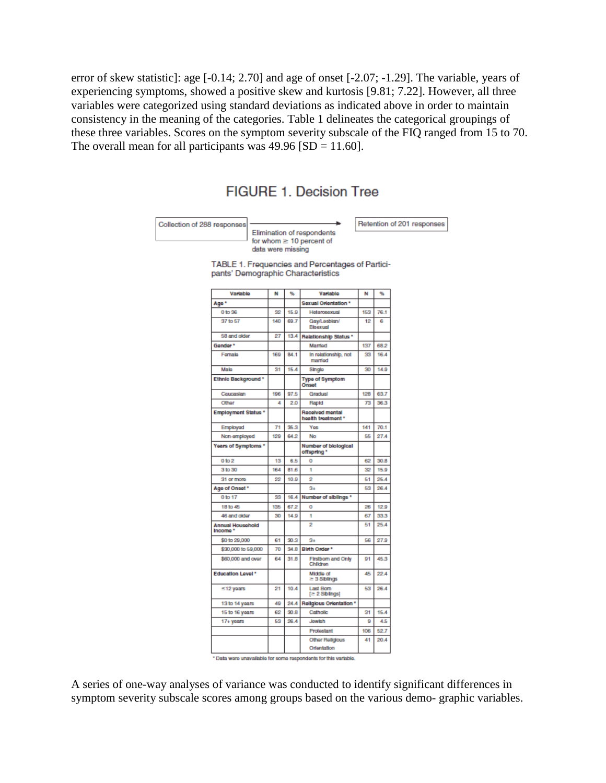error of skew statistic]: age [-0.14; 2.70] and age of onset [-2.07; -1.29]. The variable, years of experiencing symptoms, showed a positive skew and kurtosis [9.81; 7.22]. However, all three variables were categorized using standard deviations as indicated above in order to maintain consistency in the meaning of the categories. Table 1 delineates the categorical groupings of these three variables. Scores on the symptom severity subscale of the FIQ ranged from 15 to 70. The overall mean for all participants was  $49.96$  [SD = 11.60].

# **FIGURE 1. Decision Tree**

Collection of 288 responses Elimination of respondents for whom  $\geq 10$  percent of

Retention of 201 responses

TABLE 1. Frequencies and Percentages of Participants' Demographic Characteristics

data were missing

| Variable                            | N   | %    | Variable                                     | N   | %    |
|-------------------------------------|-----|------|----------------------------------------------|-----|------|
| Age <sup>*</sup>                    |     |      | Sexual Orientation *                         |     |      |
| 0 to 36                             | 32  | 15.9 | Heterosexual                                 | 153 | 76.1 |
| 37 to 57                            | 140 | 69.7 | Gay/Lesblan/<br>Bisaxual                     | 12  | g    |
| 58 and older                        | 27  | 13.4 | <b>Relationship Status *</b>                 |     |      |
| Gender*                             |     |      | Married                                      | 137 | 68.2 |
| Fornalo                             | 169 | 84.1 | In relationship, not<br>married              | 33  | 16.4 |
| Mala                                | 31  | 15.4 | Single                                       | 30  | 14.9 |
| Ethnic Background*                  |     |      | <b>Type of Symptom</b><br>Onset              |     |      |
| Caucasian                           | 196 | 97.5 | Gradual                                      | 128 | 63.7 |
| Other                               | 4   | 2.0  | Rapid                                        | 73  | 36.3 |
| <b>Employment Status *</b>          |     |      | <b>Received mental</b><br>health treatment * |     |      |
| Employed                            | 71  | 35.3 | Yes                                          | 141 | 70.1 |
| Non-amployed                        | 129 | 64.2 | No                                           | 55  | 27.A |
| Years of Symptoms *                 |     |      | Number of biological<br>offspring *          |     |      |
| 0 to 2                              | 13  | 6.5  | o                                            | 62  | 30.B |
| 3 to 30                             | 164 | 81.6 | 1                                            | 32  | 15.9 |
| 31 or more                          | 22  | 10.9 | 2                                            | 51  | 25.4 |
| Age of Onset *                      |     |      | $3 +$                                        | 53  | 26.4 |
| 0 to 17                             | 33  | 16.4 | Number of siblings *                         |     |      |
| 18 to 45                            | 135 | 67.2 | o                                            | 26  | 12.9 |
| 46 and older                        | 30  | 149  | ۹                                            | 67  | 33.3 |
| <b>Annual Household</b><br>Income * |     |      | 2                                            | 51  | 25.4 |
| \$0 to 29,000                       | 61  | 30.3 | $3+$                                         | 56  | 27.9 |
| \$30,000 to 59,000                  | 70  | 34.8 | Birth Order *                                |     |      |
| \$60,000 and over                   | 64  | 31.8 | Firstborn and Only<br>Children               | 91  | 45.3 |
| <b>Education Level*</b>             |     |      | Middle of<br>= 3 Siblings                    | 45  | 22.4 |
| $\leq$ 12 years                     | 21  | 10.4 | <b>Last Born</b><br>[≥ 2 Siblings]           | 53  | 26.4 |
| 13 to 14 years                      | 49  | 24.4 | <b>Religious Orientation *</b>               |     |      |
| 15 to 16 years                      | 62  | 30.8 | Catholic                                     | 31  | 15.4 |
| 17+ years                           | 53  | 26.4 | Jowish                                       | ø   | 4.5  |
|                                     |     |      | Protestant                                   | 106 | 52.7 |
|                                     |     |      | Other Religious                              | 41  | 20.4 |
|                                     |     |      | Orientation                                  |     |      |

\* Data were unavailable for some respondents for this variable.

A series of one-way analyses of variance was conducted to identify significant differences in symptom severity subscale scores among groups based on the various demo- graphic variables.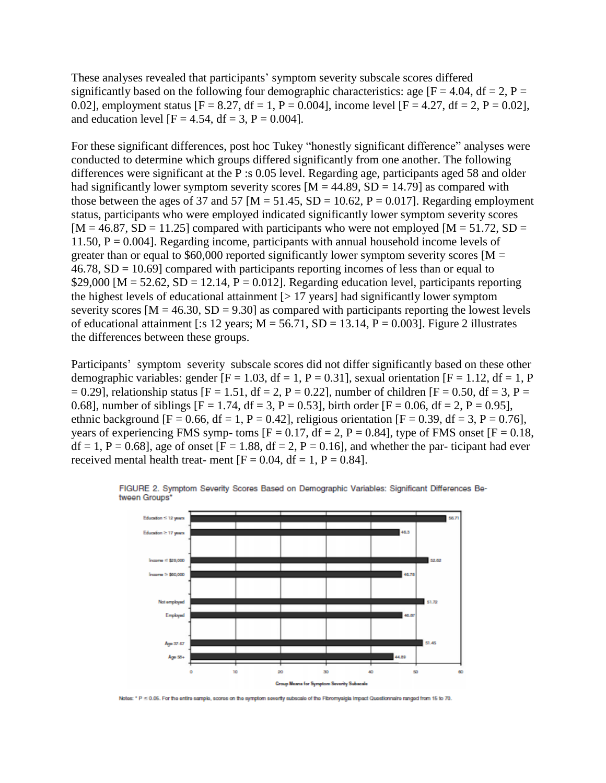These analyses revealed that participants' symptom severity subscale scores differed significantly based on the following four demographic characteristics: age  $[F = 4.04, df = 2, P =$ 0.02], employment status  $[F = 8.27, df = 1, P = 0.004]$ , income level  $[F = 4.27, df = 2, P = 0.02]$ , and education level  $[F = 4.54, df = 3, P = 0.004]$ .

For these significant differences, post hoc Tukey "honestly significant difference" analyses were conducted to determine which groups differed significantly from one another. The following differences were significant at the P :s 0.05 level. Regarding age, participants aged 58 and older had significantly lower symptom severity scores  $[M = 44.89, SD = 14.79]$  as compared with those between the ages of 37 and 57 [M = 51.45, SD = 10.62, P = 0.017]. Regarding employment status, participants who were employed indicated significantly lower symptom severity scores  $[M = 46.87, SD = 11.25]$  compared with participants who were not employed  $[M = 51.72, SD =$ 11.50,  $P = 0.004$ . Regarding income, participants with annual household income levels of greater than or equal to \$60,000 reported significantly lower symptom severity scores  $[M =$  $46.78$ ,  $SD = 10.69$  compared with participants reporting incomes of less than or equal to \$29,000 [M = 52.62, SD = 12.14, P = 0.012]. Regarding education level, participants reporting the highest levels of educational attainment  $\lceil$  > 17 years] had significantly lower symptom severity scores  $[M = 46.30, SD = 9.30]$  as compared with participants reporting the lowest levels of educational attainment [:s 12 years;  $M = 56.71$ ,  $SD = 13.14$ ,  $P = 0.003$ ]. Figure 2 illustrates the differences between these groups.

Participants' symptom severity subscale scores did not differ significantly based on these other demographic variables: gender  $[F = 1.03, df = 1, P = 0.31]$ , sexual orientation  $[F = 1.12, df = 1, P$  $= 0.29$ ], relationship status [F = 1.51, df = 2, P = 0.22], number of children [F = 0.50, df = 3, P = 0.68], number of siblings  $[F = 1.74, df = 3, P = 0.53]$ , birth order  $[F = 0.06, df = 2, P = 0.95]$ , ethnic background  $[F = 0.66, df = 1, P = 0.42]$ , religious orientation  $[F = 0.39, df = 3, P = 0.76]$ , years of experiencing FMS symp- toms  $[F = 0.17, df = 2, P = 0.84]$ , type of FMS onset  $[F = 0.18,$  $df = 1$ ,  $P = 0.68$ , age of onset  $[F = 1.88, df = 2, P = 0.16]$ , and whether the par-ticipant had ever received mental health treat- ment  $[F = 0.04, df = 1, P = 0.84]$ .



FIGURE 2. Symptom Severity Scores Based on Demographic Variables: Significant Differences Between Groups'

Notes: " P < 0.05. For the entire sample, scores on the symptom severity subscale of the Fibromyaigia impact Questionnaire ranged from 15 to 70.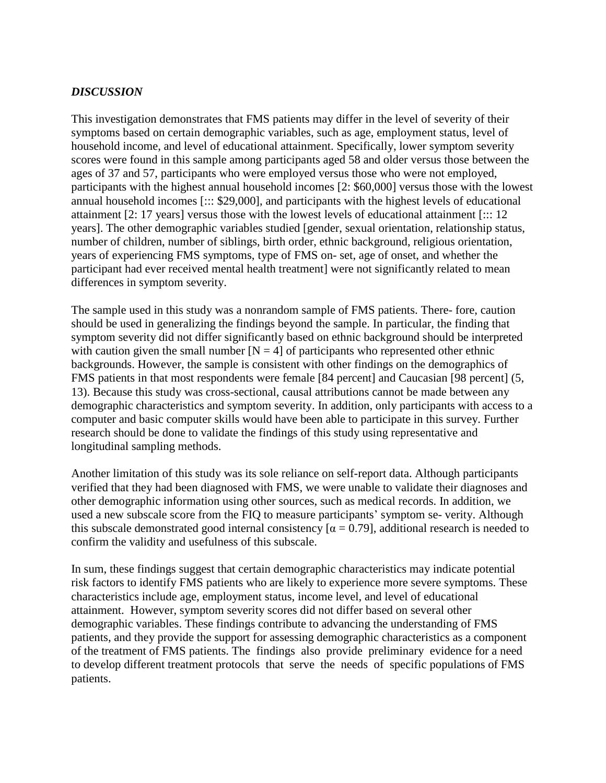#### *DISCUSSION*

This investigation demonstrates that FMS patients may differ in the level of severity of their symptoms based on certain demographic variables, such as age, employment status, level of household income, and level of educational attainment. Specifically, lower symptom severity scores were found in this sample among participants aged 58 and older versus those between the ages of 37 and 57, participants who were employed versus those who were not employed, participants with the highest annual household incomes [2: \$60,000] versus those with the lowest annual household incomes [::: \$29,000], and participants with the highest levels of educational attainment [2: 17 years] versus those with the lowest levels of educational attainment [::: 12 years]. The other demographic variables studied [gender, sexual orientation, relationship status, number of children, number of siblings, birth order, ethnic background, religious orientation, years of experiencing FMS symptoms, type of FMS on- set, age of onset, and whether the participant had ever received mental health treatment] were not significantly related to mean differences in symptom severity.

The sample used in this study was a nonrandom sample of FMS patients. There- fore, caution should be used in generalizing the findings beyond the sample. In particular, the finding that symptom severity did not differ significantly based on ethnic background should be interpreted with caution given the small number  $[N = 4]$  of participants who represented other ethnic backgrounds. However, the sample is consistent with other findings on the demographics of FMS patients in that most respondents were female [84 percent] and Caucasian [98 percent] (5, 13). Because this study was cross-sectional, causal attributions cannot be made between any demographic characteristics and symptom severity. In addition, only participants with access to a computer and basic computer skills would have been able to participate in this survey. Further research should be done to validate the findings of this study using representative and longitudinal sampling methods.

Another limitation of this study was its sole reliance on self-report data. Although participants verified that they had been diagnosed with FMS, we were unable to validate their diagnoses and other demographic information using other sources, such as medical records. In addition, we used a new subscale score from the FIQ to measure participants' symptom se- verity. Although this subscale demonstrated good internal consistency  $\alpha = 0.79$ , additional research is needed to confirm the validity and usefulness of this subscale.

In sum, these findings suggest that certain demographic characteristics may indicate potential risk factors to identify FMS patients who are likely to experience more severe symptoms. These characteristics include age, employment status, income level, and level of educational attainment. However, symptom severity scores did not differ based on several other demographic variables. These findings contribute to advancing the understanding of FMS patients, and they provide the support for assessing demographic characteristics as a component of the treatment of FMS patients. The findings also provide preliminary evidence for a need to develop different treatment protocols that serve the needs of specific populations of FMS patients.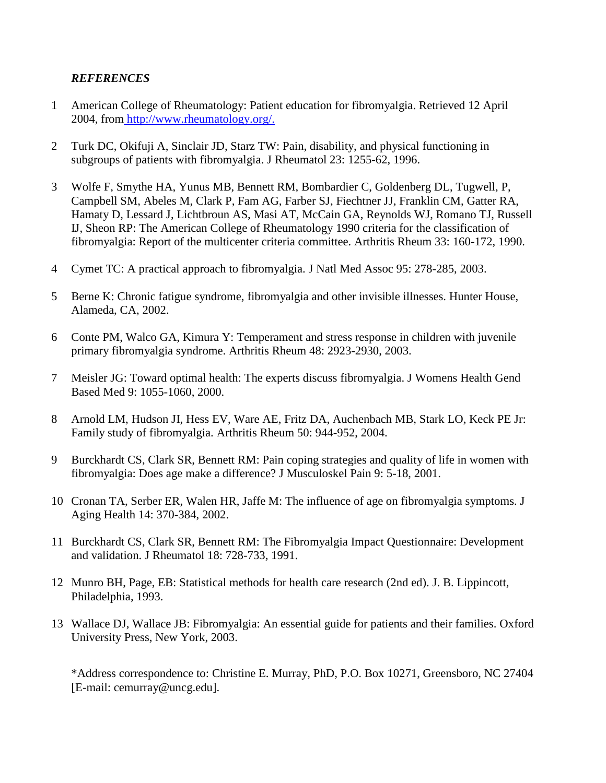## *REFERENCES*

- 1 American College of Rheumatology: Patient education for fibromyalgia. Retrieved 12 April 2004, from [http://www.rheumatology.org/.](http://www.rheumatology.org/)
- 2 Turk DC, Okifuji A, Sinclair JD, Starz TW: Pain, disability, and physical functioning in subgroups of patients with fibromyalgia. J Rheumatol 23: 1255-62, 1996.
- 3 Wolfe F, Smythe HA, Yunus MB, Bennett RM, Bombardier C, Goldenberg DL, Tugwell, P, Campbell SM, Abeles M, Clark P, Fam AG, Farber SJ, Fiechtner JJ, Franklin CM, Gatter RA, Hamaty D, Lessard J, Lichtbroun AS, Masi AT, McCain GA, Reynolds WJ, Romano TJ, Russell IJ, Sheon RP: The American College of Rheumatology 1990 criteria for the classification of fibromyalgia: Report of the multicenter criteria committee. Arthritis Rheum 33: 160-172, 1990.
- 4 Cymet TC: A practical approach to fibromyalgia. J Natl Med Assoc 95: 278-285, 2003.
- 5 Berne K: Chronic fatigue syndrome, fibromyalgia and other invisible illnesses. Hunter House, Alameda, CA, 2002.
- 6 Conte PM, Walco GA, Kimura Y: Temperament and stress response in children with juvenile primary fibromyalgia syndrome. Arthritis Rheum 48: 2923-2930, 2003.
- 7 Meisler JG: Toward optimal health: The experts discuss fibromyalgia. J Womens Health Gend Based Med 9: 1055-1060, 2000.
- 8 Arnold LM, Hudson JI, Hess EV, Ware AE, Fritz DA, Auchenbach MB, Stark LO, Keck PE Jr: Family study of fibromyalgia. Arthritis Rheum 50: 944-952, 2004.
- 9 Burckhardt CS, Clark SR, Bennett RM: Pain coping strategies and quality of life in women with fibromyalgia: Does age make a difference? J Musculoskel Pain 9: 5-18, 2001.
- 10 Cronan TA, Serber ER, Walen HR, Jaffe M: The influence of age on fibromyalgia symptoms. J Aging Health 14: 370-384, 2002.
- 11 Burckhardt CS, Clark SR, Bennett RM: The Fibromyalgia Impact Questionnaire: Development and validation. J Rheumatol 18: 728-733, 1991.
- 12 Munro BH, Page, EB: Statistical methods for health care research (2nd ed). J. B. Lippincott, Philadelphia, 1993.
- 13 Wallace DJ, Wallace JB: Fibromyalgia: An essential guide for patients and their families. Oxford University Press, New York, 2003.

\*Address correspondence to: Christine E. Murray, PhD, P.O. Box 10271, Greensboro, NC 27404 [E-mail: cemurray@uncg.edu].